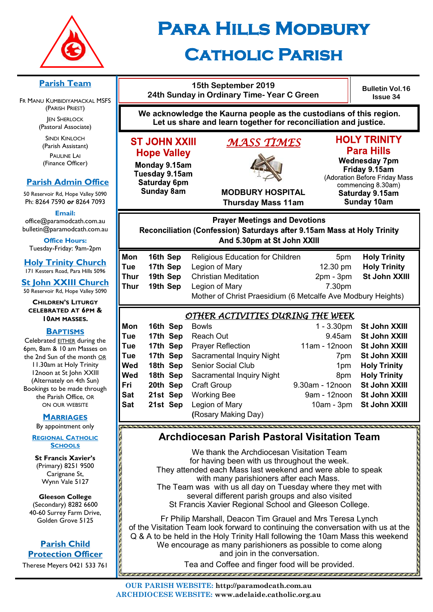

# **Para Hills Modbury Catholic Parish**

**15th September 2019**

#### **Parish Team**

FR MANU KUMBIDIYAMACKAL MSFS (PARISH PRIEST) **JEN SHERLOCK** 

(Pastoral Associate)

SINDI KINLOCH (Parish Assistant) PAULINE LAI (Finance Officer)

#### **Parish Admin Office**

50 Reservoir Rd, Hope Valley 5090 Ph: 8264 7590 *or* 8264 7093

**Email:** 

office@paramodcath.com.au bulletin@paramodcath.com.au

**Office Hours:**  Tuesday-Friday: 9am-2pm

**Holy Trinity Church** 171 Kesters Road, Para Hills 5096

**St John XXIII Church** 50 Reservoir Rd, Hope Valley 5090

**CHILDREN'S LITURGY CELEBRATED AT 6PM & 10AM MASSES.**

#### **BAPTISMS**

Celebrated EITHER during the 6pm, 8am & 10 am Masses on the 2nd Sun of the month OR 11.30am at Holy Trinity 12noon at St John XXIII (Alternately on 4th Sun) Bookings to be made through the Parish Office, OR ON OUR WEBSITE

#### **MARRIAGES**

By appointment only

**REGIONAL CATHOLIC SCHOOLS**

**St Francis Xavier's**  (Primary) 8251 9500 Carignane St, Wynn Vale 5127

**Gleeson College**  (Secondary) 8282 6600 40-60 Surrey Farm Drive, Golden Grove 5125

#### **Parish Child Protection Officer**

Therese Meyers 0421 533 761

| 24th Sunday in Ordinary Time- Year C Green                                                                                                     |                                  |                                                                                                                                       |                                | DUIIGUII VUI.<br><b>Issue 34</b>                                                                                                                                               |  |
|------------------------------------------------------------------------------------------------------------------------------------------------|----------------------------------|---------------------------------------------------------------------------------------------------------------------------------------|--------------------------------|--------------------------------------------------------------------------------------------------------------------------------------------------------------------------------|--|
|                                                                                                                                                |                                  | We acknowledge the Kaurna people as the custodians of this region.<br>Let us share and learn together for reconciliation and justice. |                                |                                                                                                                                                                                |  |
| <b>ST JOHN XXIII</b><br><b>Hope Valley</b><br>Monday 9.15am<br>Tuesday 9.15am<br><b>Saturday 6pm</b><br><b>Sunday 8am</b>                      |                                  | <u>MASS TIMES</u><br><b>MODBURY HOSPITAL</b><br><b>Thursday Mass 11am</b>                                                             |                                | <b>HOLY TRINITY</b><br><b>Para Hills</b><br><b>Wednesday 7pm</b><br>Friday 9.15am<br>(Adoration Before Friday M<br>commencing 8.30am)<br>Saturday 9.15am<br><b>Sunday 10am</b> |  |
| <b>Prayer Meetings and Devotions</b><br>Reconciliation (Confession) Saturdays after 9.15am Mass at Holy Trinity<br>And 5.30pm at St John XXIII |                                  |                                                                                                                                       |                                |                                                                                                                                                                                |  |
| วท<br>ıе<br>lur                                                                                                                                | 16th Sep<br>17th Sep<br>19th Sep | <b>Religious Education for Children</b><br>Legion of Mary<br><b>Christian Meditation</b>                                              | 5pm<br>12.30 pm<br>$2pm - 3pm$ | <b>Holy Trinit</b><br><b>Holy Trinit</b><br>St John X)                                                                                                                         |  |

### **OLY TRINITY Para Hills**

**Bulletin Vol.16 Issue 34**

Vednesday 7pm Fridav 9.15am tion Before Friday Mass mmencing 8.30am) aturday 9.15am **Sunday 10am** 

| Mon  |          | <b>16th Sep</b> Religious Education for Children             | 5 <sub>pm</sub>    | <b>Holy Trinity</b> |
|------|----------|--------------------------------------------------------------|--------------------|---------------------|
| Tue  | 17th Sep | Legion of Mary                                               | $12.30 \text{ pm}$ | <b>Holy Trinity</b> |
| Thur |          | <b>19th Sep</b> Christian Meditation                         | $2pm - 3pm$        | St John XXIII       |
| Thur | 19th Sep | Legion of Mary                                               | 7.30pm             |                     |
|      |          | Mother of Christ Praesidium (6 Metcalfe Ave Modbury Heights) |                    |                     |
|      |          |                                                              |                    |                     |

### *OTHER ACTIVITIES DURING THE WEEK*

| Mon | 16th Sep | <b>Bowls</b>              | $1 - 3.30$ pm   | St John XXIII        |
|-----|----------|---------------------------|-----------------|----------------------|
| Tue | 17th Sep | Reach Out                 | 9.45am          | St John XXIII        |
| Tue | 17th Sep | <b>Prayer Reflection</b>  | 11am - 12noon   | <b>St John XXIII</b> |
| Tue | 17th Sep | Sacramental Inquiry Night | 7 <sub>pm</sub> | St John XXIII        |
| Wed | 18th Sep | <b>Senior Social Club</b> | 1 <sub>pm</sub> | <b>Holy Trinity</b>  |
| Wed | 18th Sep | Sacramental Inquiry Night | 8pm             | <b>Holy Trinity</b>  |
| Fri | 20th Sep | <b>Craft Group</b>        | 9.30am - 12noon | St John XXIII        |
| Sat | 21st Sep | <b>Working Bee</b>        | 9am - 12noon    | St John XXIII        |
| Sat | 21st Sep | Legion of Mary            | $10am - 3pm$    | St John XXIII        |
|     |          | (Rosary Making Day)       |                 |                      |

### **Archdiocesan Parish Pastoral Visitation Team**

We thank the Archdiocesan Visitation Team for having been with us throughout the week. They attended each Mass last weekend and were able to speak with many parishioners after each Mass. The Team was with us all day on Tuesday where they met with several different parish groups and also visited St Francis Xavier Regional School and Gleeson College.

Fr Philip Marshall, Deacon Tim Grauel and Mrs Teresa Lynch of the Visitation Team look forward to continuing the conversation with us at the Q & A to be held in the Holy Trinity Hall following the 10am Mass this weekend We encourage as many parishioners as possible to come along and join in the conversation.

Tea and Coffee and finger food will be provided.

<u>aaaaaaaaaaaaaaaaa</u>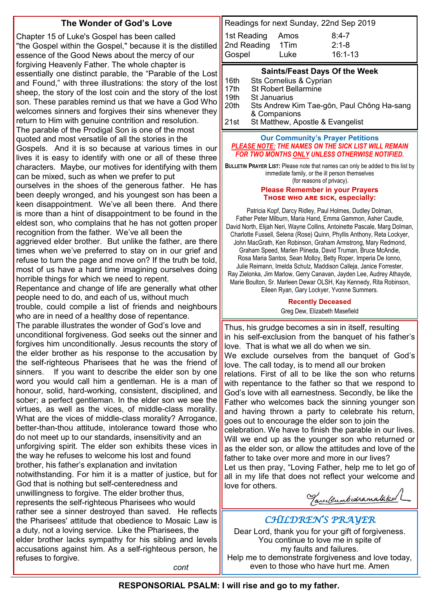#### **The Wonder of God's Love**

Chapter 15 of Luke's Gospel has been called "the Gospel within the Gospel," because it is the distilled essence of the Good News about the mercy of our forgiving Heavenly Father. The whole chapter is essentially one distinct parable, the "Parable of the Lost and Found," with three illustrations: the story of the lost sheep, the story of the lost coin and the story of the lost son. These parables remind us that we have a God Who welcomes sinners and forgives their sins whenever they return to Him with genuine contrition and resolution. The parable of the Prodigal Son is one of the most quoted and most versatile of all the stories in the Gospels. And it is so because at various times in our lives it is easy to identify with one or all of these three characters. Maybe, our motives for identifying with them can be mixed, such as when we prefer to put ourselves in the shoes of the generous father. He has been deeply wronged, and his youngest son has been a keen disappointment. We've all been there. And there is more than a hint of disappointment to be found in the eldest son, who complains that he has not gotten proper recognition from the father. We've all been the aggrieved elder brother. But unlike the father, are there times when we've preferred to stay on in our grief and refuse to turn the page and move on? If the truth be told, most of us have a hard time imagining ourselves doing horrible things for which we need to repent. Repentance and change of life are generally what other people need to do, and each of us, without much trouble, could compile a list of friends and neighbours who are in need of a healthy dose of repentance. The parable illustrates the wonder of God's love and unconditional forgiveness. God seeks out the sinner and forgives him unconditionally. Jesus recounts the story of the elder brother as his response to the accusation by the self-righteous Pharisees that he was the friend of sinners. If you want to describe the elder son by one word you would call him a gentleman. He is a man of honour, solid, hard-working, consistent, disciplined, and sober; a perfect gentleman. In the elder son we see the virtues, as well as the vices, of middle-class morality. What are the vices of middle-class morality? Arrogance, better-than-thou attitude, intolerance toward those who do not meet up to our standards, insensitivity and an unforgiving spirit. The elder son exhibits these vices in the way he refuses to welcome his lost and found brother, his father's explanation and invitation notwithstanding. For him it is a matter of justice, but for God that is nothing but self-centeredness and unwillingness to forgive. The elder brother thus, represents the self-righteous Pharisees who would rather see a sinner destroyed than saved. He reflects the Pharisees' attitude that obedience to Mosaic Law is a duty, not a loving service. Like the Pharisees, the elder brother lacks sympathy for his sibling and levels accusations against him. As a self-righteous person, he refuses to forgive. *cont*

Readings for next Sunday, 22nd Sep 2019 1st Reading Amos 8:4-7 2nd Reading 1Tim 2:1-8 Gospel Luke 16:1-13

#### **Saints/Feast Days Of the Week**

| 16th | Sts Cornelius & Cyprian                    |
|------|--------------------------------------------|
| 17th | <b>St Robert Bellarmine</b>                |
| 19th | <b>St Januarius</b>                        |
| 20th | Sts Andrew Kim Tae-gŏn, Paul Chŏng Ha-sang |
|      | & Companions                               |
| 21st | St Matthew, Apostle & Evangelist           |

#### **Our Community's Prayer Petitions**  *PLEASE NOTE: THE NAMES ON THE SICK LIST WILL REMAIN FOR TWO MONTHS ONLY UNLESS OTHERWISE NOTIFIED.*

**BULLETIN PRAYER LIST:** Please note that names can only be added to this list by immediate family, or the ill person themselves (for reasons of privacy).

#### **Please Remember in your Prayers Those who are sick, especially:**

Patricia Kopf, Darcy Ridley, Paul Holmes, Dudley Dolman, Father Peter Milburn, Maria Hand, Emma Gammon, Asher Caudle, David North, Elijah Neri, Wayne Collins, Antoinette Pascale, Marg Dolman, Charlotte Fussell, Selena (Rose) Quinn, Phyllis Anthony, Reta Lockyer, John MacGrath, Ken Robinson, Graham Armstrong, Mary Redmond, Graham Speed, Marlen Piineda, David Truman, Bruce McAndie, Rosa Maria Santos, Sean Molloy, Betty Roper, Imperia De Ionno, Julie Reimann, Imelda Schulz, Maddison Calleja, Janice Forrester, Ray Zielonka, Jim Marlow, Gerry Canavan, Jayden Lee, Audrey Athayde, Marie Boulton, Sr. Marleen Dewar OLSH, Kay Kennedy, Rita Robinson, Eileen Ryan, Gary Lockyer, Yvonne Summers.

#### **Recently Deceased**

Greg Dew, Elizabeth Masefield

Thus, his grudge becomes a sin in itself, resulting in his self-exclusion from the banquet of his father's love. That is what we all do when we sin. We exclude ourselves from the banquet of God's love. The call today, is to mend all our broken relations. First of all to be like the son who returns with repentance to the father so that we respond to God's love with all earnestness. Secondly, be like the Father who welcomes back the sinning younger son and having thrown a party to celebrate his return, goes out to encourage the elder son to join the celebration. We have to finish the parable in our lives.

Will we end up as the younger son who returned or as the elder son, or allow the attitudes and love of the father to take over more and more in our lives?

Let us then pray, "Loving Father, help me to let go of all in my life that does not reflect your welcome and love for others.

Tanelsumbedramalaked L

### *CHILDREN'S PRAYER*

Dear Lord, thank you for your gift of forgiveness. You continue to love me in spite of my faults and failures. Help me to demonstrate forgiveness and love today. even to those who have hurt me. Amen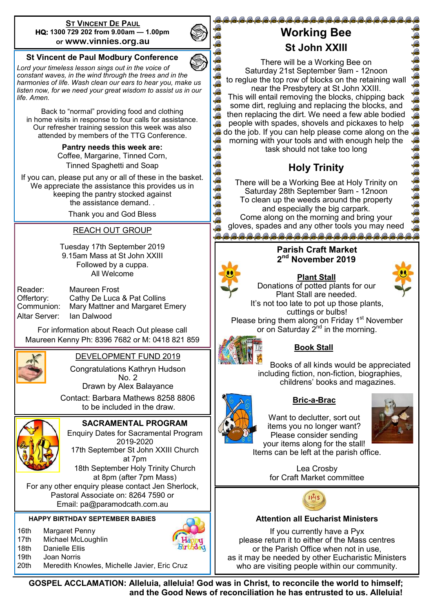#### **ST VINCENT DE PAUL HQ: 1300 729 202 from 9.00am — 1.00pm or www.vinnies.org.au**



*Lord your timeless lesson sings out in the voice of constant waves, in the wind through the trees and in the harmonies of life. Wash clean our ears to hear you, make us listen now, for we need your great wisdom to assist us in our life. Amen.*

Back to "normal" providing food and clothing in home visits in response to four calls for assistance. Our refresher training session this week was also attended by members of the TTG Conference.

> **Pantry needs this week are:**  Coffee, Margarine, Tinned Corn, Tinned Spaghetti and Soap

If you can, please put any or all of these in the basket. We appreciate the assistance this provides us in keeping the pantry stocked against the assistance demand. .

Thank you and God Bless

#### REACH OUT GROUP

Tuesday 17th September 2019 9.15am Mass at St John XXIII Followed by a cuppa. All Welcome

| Reader:       | Maureen Frost                   |
|---------------|---------------------------------|
| Offertory:    | Cathy De Luca & Pat Collins     |
| Communion:    | Mary Mattner and Margaret Emery |
| Altar Server: | lan Dalwood                     |

For information about Reach Out please call Maureen Kenny Ph: 8396 7682 or M: 0418 821 859



#### DEVELOPMENT FUND 2019

Congratulations Kathryn Hudson No. 2

Drawn by Alex Balayance

 Contact: Barbara Mathews 8258 8806 to be included in the draw.



**SACRAMENTAL PROGRAM**

Enquiry Dates for Sacramental Program 2019-2020 17th September St John XXIII Church

at 7pm

18th September Holy Trinity Church at 8pm (after 7pm Mass)

For any other enquiry please contact Jen Sherlock, Pastoral Associate on: 8264 7590 or Email: pa@paramodcath.com.au

**HAPPY BIRTHDAY SEPTEMBER BABIES**

16th Margaret Penny



18th Danielle Ellis 19th Joan Norris



20th Meredith Knowles, Michelle Javier, Eric Cruz

# **Working Bee St John XXIII**

@@@@@@@@@@@@@@@@@@@@@@@@@@

There will be a Working Bee on Saturday 21st September 9am - 12noon to reglue the top row of blocks on the retaining wall near the Presbytery at St John XXIII. This will entail removing the blocks, chipping back some dirt, regluing and replacing the blocks, and then replacing the dirt. We need a few able bodied people with spades, shovels and pickaxes to help do the job. If you can help please come along on the morning with your tools and with enough help the task should not take too long

# **Holy Trinity**

There will be a Working Bee at Holy Trinity on Saturday 28th September 9am - 12noon To clean up the weeds around the property and especially the big carpark. Come along on the morning and bring your gloves, spades and any other tools you may need <u>.<br>. Gunda Gunda Gunda Gunda Gunda Gunda Gunda Gunda Gunda Gu</u>

G 和酒 G R R A

# **2 nd November 2019**

**Parish Craft Market** 

**Plant Stall**

Donations of potted plants for our Plant Stall are needed. It's not too late to pot up those plants, cuttings or bulbs!

Please bring them along on Friday 1<sup>st</sup> November or on Saturday  $2^{nd}$  in the morning.



# **Book Stall**

Books of all kinds would be appreciated including fiction, non-fiction, biographies, childrens' books and magazines.



# **Bric-a-Brac**

Want to declutter, sort out items you no longer want? Please consider sending your items along for the stall! Items can be left at the parish office.

> Lea Crosby for Craft Market committee



#### **Attention all Eucharist Ministers**

If you currently have a Pyx please return it to either of the Mass centres or the Parish Office when not in use, as it may be needed by other Eucharistic Ministers who are visiting people within our community.

**GOSPEL ACCLAMATION: Alleluia, alleluia! God was in Christ, to reconcile the world to himself; and the Good News of reconciliation he has entrusted to us. Alleluia!**